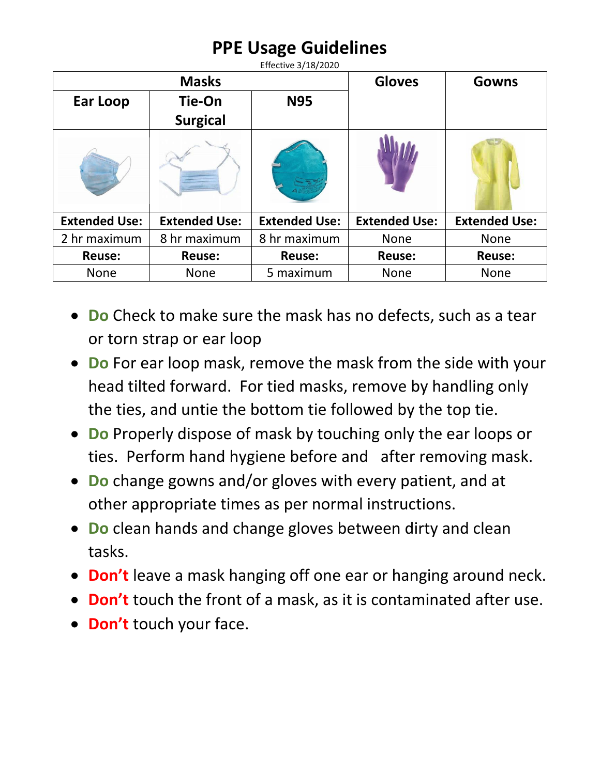## **PPE Usage Guidelines**

| <b>Masks</b>         |                      |                      | <b>Gloves</b>        | <b>Gowns</b>         |
|----------------------|----------------------|----------------------|----------------------|----------------------|
| Ear Loop             | Tie-On               | <b>N95</b>           |                      |                      |
|                      | <b>Surgical</b>      |                      |                      |                      |
|                      |                      |                      |                      |                      |
| <b>Extended Use:</b> | <b>Extended Use:</b> | <b>Extended Use:</b> | <b>Extended Use:</b> | <b>Extended Use:</b> |
| 2 hr maximum         | 8 hr maximum         | 8 hr maximum         | <b>None</b>          | <b>None</b>          |
| <b>Reuse:</b>        | <b>Reuse:</b>        | <b>Reuse:</b>        | <b>Reuse:</b>        | <b>Reuse:</b>        |
| <b>None</b>          | <b>None</b>          | 5 maximum            | <b>None</b>          | <b>None</b>          |

- **Do** Check to make sure the mask has no defects, such as a tear or torn strap or ear loop
- **Do** For ear loop mask, remove the mask from the side with your head tilted forward. For tied masks, remove by handling only the ties, and untie the bottom tie followed by the top tie.
- **Do** Properly dispose of mask by touching only the ear loops or ties. Perform hand hygiene before and after removing mask.
- **Do** change gowns and/or gloves with every patient, and at other appropriate times as per normal instructions.
- **Do** clean hands and change gloves between dirty and clean tasks.
- **Don't** leave a mask hanging off one ear or hanging around neck.
- **Don't** touch the front of a mask, as it is contaminated after use.
- **Don't** touch your face.